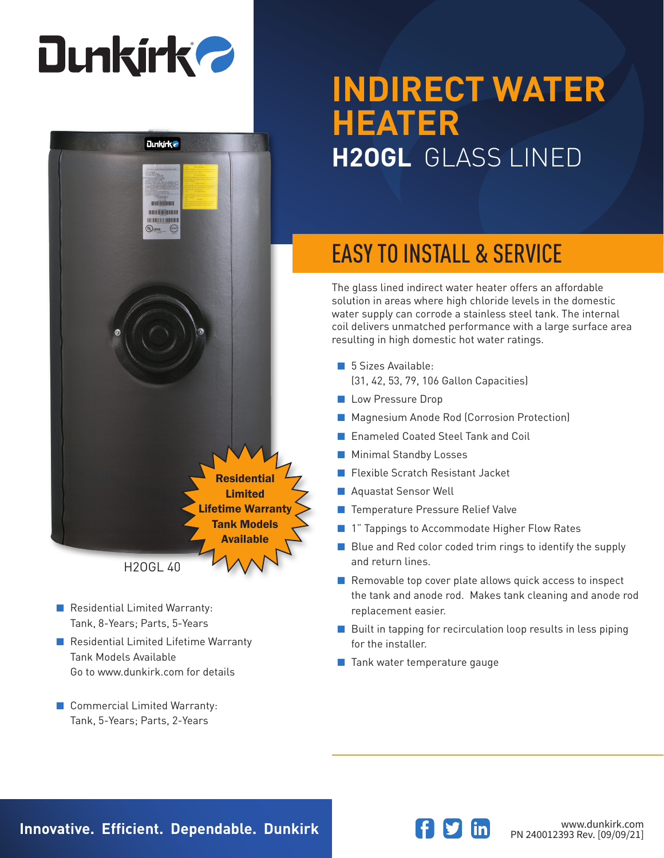# **Dunkirk 2**



- Residential Limited Warranty: Tank, 8-Years; Parts, 5-Years
- Residential Limited Lifetime Warranty Tank Models Available Go to www.dunkirk.com for details
- Commercial Limited Warranty: Tank, 5-Years; Parts, 2-Years

## **INDIRECT WATER HEATER H2OGL** GLASS LINED

### EASY TO INSTALL & SERVICE

The glass lined indirect water heater offers an affordable solution in areas where high chloride levels in the domestic water supply can corrode a stainless steel tank. The internal coil delivers unmatched performance with a large surface area resulting in high domestic hot water ratings.

- 5 Sizes Available: (31, 42, 53, 79, 106 Gallon Capacities)
- Low Pressure Drop
- Magnesium Anode Rod (Corrosion Protection)
- Enameled Coated Steel Tank and Coil
- Minimal Standby Losses
- Flexible Scratch Resistant Jacket
- Aquastat Sensor Well
- Temperature Pressure Relief Valve
- 1" Tappings to Accommodate Higher Flow Rates
- Blue and Red color coded trim rings to identify the supply and return lines.
- Removable top cover plate allows quick access to inspect the tank and anode rod. Makes tank cleaning and anode rod replacement easier.
- Built in tapping for recirculation loop results in less piping for the installer.
- Tank water temperature gauge

**Innovative. Efficient. Dependable. Dunkirk and Southern Communistry of the Magnetic Www.dunkirk.com**